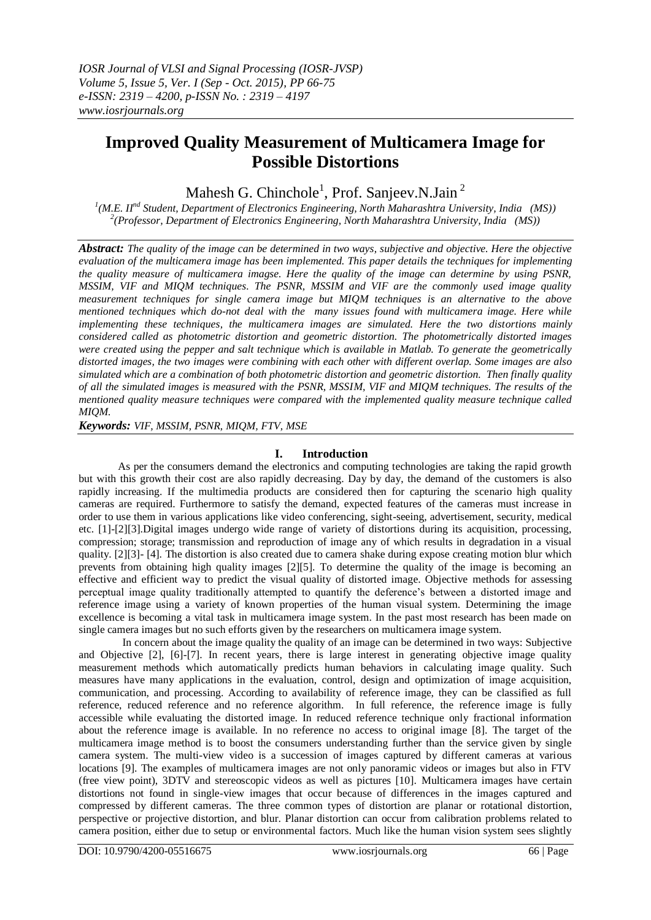# **Improved Quality Measurement of Multicamera Image for Possible Distortions**

Mahesh G. Chinchole<sup>1</sup>, Prof. Sanjeev.N.Jain<sup>2</sup>

*1 (M.E. IInd Student, Department of Electronics Engineering, North Maharashtra University, India (MS)) 2 (Professor, Department of Electronics Engineering, North Maharashtra University, India (MS))*

*Abstract: The quality of the image can be determined in two ways, subjective and objective. Here the objective evaluation of the multicamera image has been implemented. This paper details the techniques for implementing the quality measure of multicamera imagse. Here the quality of the image can determine by using PSNR, MSSIM, VIF and MIQM techniques. The PSNR, MSSIM and VIF are the commonly used image quality measurement techniques for single camera image but MIQM techniques is an alternative to the above mentioned techniques which do-not deal with the many issues found with multicamera image. Here while implementing these techniques, the multicamera images are simulated. Here the two distortions mainly considered called as photometric distortion and geometric distortion. The photometrically distorted images were created using the pepper and salt technique which is available in Matlab. To generate the geometrically distorted images, the two images were combining with each other with different overlap. Some images are also simulated which are a combination of both photometric distortion and geometric distortion. Then finally quality of all the simulated images is measured with the PSNR, MSSIM, VIF and MIQM techniques. The results of the mentioned quality measure techniques were compared with the implemented quality measure technique called MIQM.*

*Keywords: VIF, MSSIM, PSNR, MIQM, FTV, MSE*

# **I. Introduction**

As per the consumers demand the electronics and computing technologies are taking the rapid growth but with this growth their cost are also rapidly decreasing. Day by day, the demand of the customers is also rapidly increasing. If the multimedia products are considered then for capturing the scenario high quality cameras are required. Furthermore to satisfy the demand, expected features of the cameras must increase in order to use them in various applications like video conferencing, sight-seeing, advertisement, security, medical etc. [1]-[2][3].Digital images undergo wide range of variety of distortions during its acquisition, processing, compression; storage; transmission and reproduction of image any of which results in degradation in a visual quality. [2][3]- [4]. The distortion is also created due to camera shake during expose creating motion blur which prevents from obtaining high quality images [2][5]. To determine the quality of the image is becoming an effective and efficient way to predict the visual quality of distorted image. Objective methods for assessing perceptual image quality traditionally attempted to quantify the deference's between a distorted image and reference image using a variety of known properties of the human visual system. Determining the image excellence is becoming a vital task in multicamera image system. In the past most research has been made on single camera images but no such efforts given by the researchers on multicamera image system.

 In concern about the image quality the quality of an image can be determined in two ways: Subjective and Objective [2], [6]-[7]. In recent years, there is large interest in generating objective image quality measurement methods which automatically predicts human behaviors in calculating image quality. Such measures have many applications in the evaluation, control, design and optimization of image acquisition, communication, and processing. According to availability of reference image, they can be classified as full reference, reduced reference and no reference algorithm. In full reference, the reference image is fully accessible while evaluating the distorted image. In reduced reference technique only fractional information about the reference image is available. In no reference no access to original image [8]. The target of the multicamera image method is to boost the consumers understanding further than the service given by single camera system. The multi-view video is a succession of images captured by different cameras at various locations [9]. The examples of multicamera images are not only panoramic videos or images but also in FTV (free view point), 3DTV and stereoscopic videos as well as pictures [10]. Multicamera images have certain distortions not found in single-view images that occur because of differences in the images captured and compressed by different cameras. The three common types of distortion are planar or rotational distortion, perspective or projective distortion, and blur. Planar distortion can occur from calibration problems related to camera position, either due to setup or environmental factors. Much like the human vision system sees slightly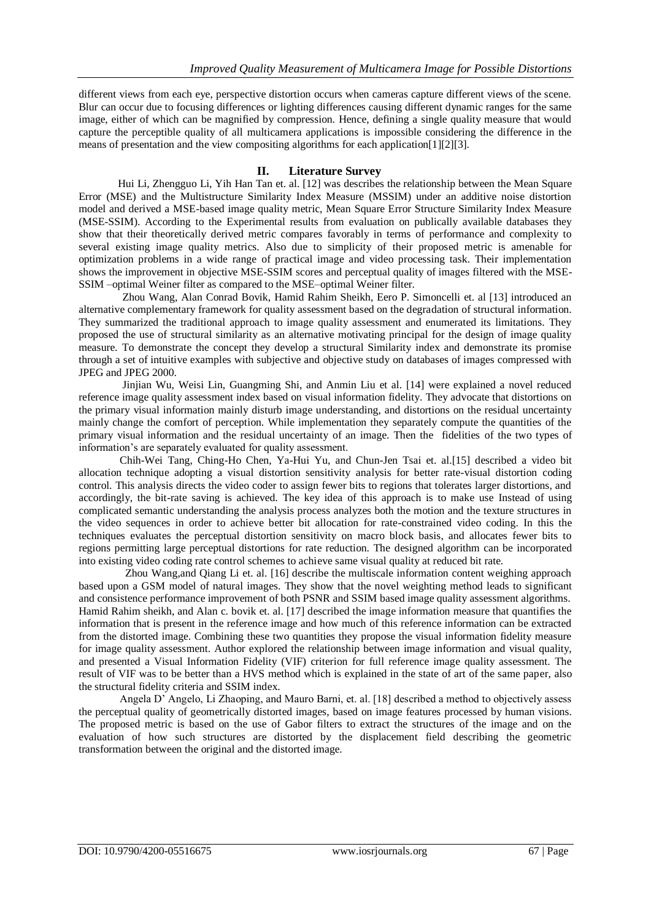different views from each eye, perspective distortion occurs when cameras capture different views of the scene. Blur can occur due to focusing differences or lighting differences causing different dynamic ranges for the same image, either of which can be magnified by compression. Hence, defining a single quality measure that would capture the perceptible quality of all multicamera applications is impossible considering the difference in the means of presentation and the view compositing algorithms for each application[1][2][3].

#### **II. Literature Survey**

Hui Li, Zhengguo Li, Yih Han Tan et. al. [12] was describes the relationship between the Mean Square Error (MSE) and the Multistructure Similarity Index Measure (MSSIM) under an additive noise distortion model and derived a MSE-based image quality metric, Mean Square Error Structure Similarity Index Measure (MSE-SSIM). According to the Experimental results from evaluation on publically available databases they show that their theoretically derived metric compares favorably in terms of performance and complexity to several existing image quality metrics. Also due to simplicity of their proposed metric is amenable for optimization problems in a wide range of practical image and video processing task. Their implementation shows the improvement in objective MSE-SSIM scores and perceptual quality of images filtered with the MSE-SSIM –optimal Weiner filter as compared to the MSE–optimal Weiner filter.

 Zhou Wang, Alan Conrad Bovik, Hamid Rahim Sheikh, Eero P. Simoncelli et. al [13] introduced an alternative complementary framework for quality assessment based on the degradation of structural information. They summarized the traditional approach to image quality assessment and enumerated its limitations. They proposed the use of structural similarity as an alternative motivating principal for the design of image quality measure. To demonstrate the concept they develop a structural Similarity index and demonstrate its promise through a set of intuitive examples with subjective and objective study on databases of images compressed with JPEG and JPEG 2000.

 Jinjian Wu, Weisi Lin, Guangming Shi, and Anmin Liu et al. [14] were explained a novel reduced reference image quality assessment index based on visual information fidelity. They advocate that distortions on the primary visual information mainly disturb image understanding, and distortions on the residual uncertainty mainly change the comfort of perception. While implementation they separately compute the quantities of the primary visual information and the residual uncertainty of an image. Then the fidelities of the two types of information's are separately evaluated for quality assessment.

 Chih-Wei Tang, Ching-Ho Chen, Ya-Hui Yu, and Chun-Jen Tsai et. al.[15] described a video bit allocation technique adopting a visual distortion sensitivity analysis for better rate-visual distortion coding control. This analysis directs the video coder to assign fewer bits to regions that tolerates larger distortions, and accordingly, the bit-rate saving is achieved. The key idea of this approach is to make use Instead of using complicated semantic understanding the analysis process analyzes both the motion and the texture structures in the video sequences in order to achieve better bit allocation for rate-constrained video coding. In this the techniques evaluates the perceptual distortion sensitivity on macro block basis, and allocates fewer bits to regions permitting large perceptual distortions for rate reduction. The designed algorithm can be incorporated into existing video coding rate control schemes to achieve same visual quality at reduced bit rate.

 Zhou Wang,and Qiang Li et. al. [16] describe the multiscale information content weighing approach based upon a GSM model of natural images. They show that the novel weighting method leads to significant and consistence performance improvement of both PSNR and SSIM based image quality assessment algorithms. Hamid Rahim sheikh, and Alan c. bovik et. al. [17] described the image information measure that quantifies the information that is present in the reference image and how much of this reference information can be extracted from the distorted image. Combining these two quantities they propose the visual information fidelity measure for image quality assessment. Author explored the relationship between image information and visual quality, and presented a Visual Information Fidelity (VIF) criterion for full reference image quality assessment. The result of VIF was to be better than a HVS method which is explained in the state of art of the same paper, also the structural fidelity criteria and SSIM index.

 Angela D' Angelo, Li Zhaoping, and Mauro Barni, et. al. [18] described a method to objectively assess the perceptual quality of geometrically distorted images, based on image features processed by human visions. The proposed metric is based on the use of Gabor filters to extract the structures of the image and on the evaluation of how such structures are distorted by the displacement field describing the geometric transformation between the original and the distorted image.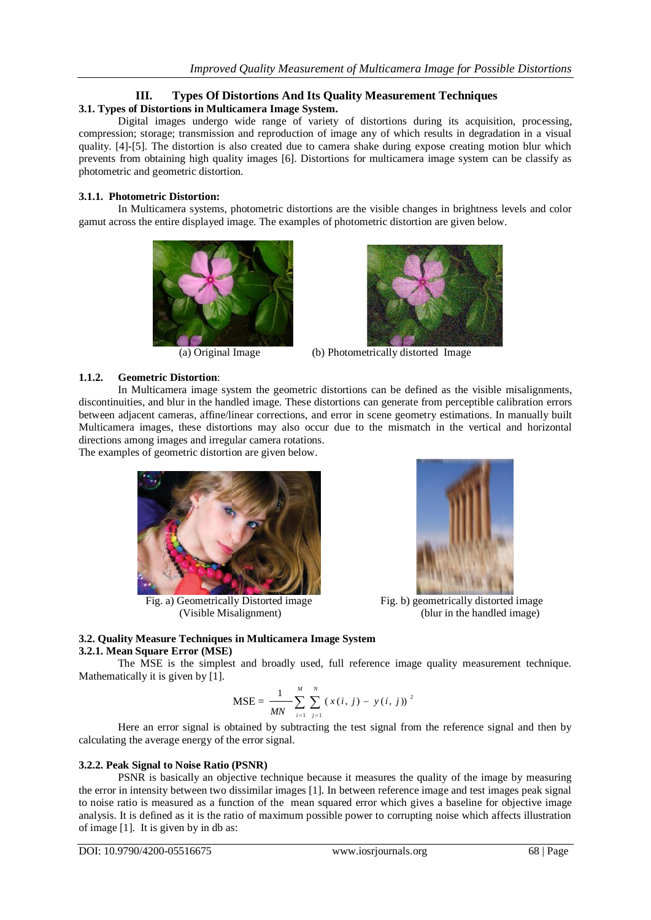# **III. Types Of Distortions And Its Quality Measurement Techniques**

# **3.1. Types of Distortions in Multicamera Image System.**

Digital images undergo wide range of variety of distortions during its acquisition, processing, compression; storage; transmission and reproduction of image any of which results in degradation in a visual quality. [4]-[5]. The distortion is also created due to camera shake during expose creating motion blur which prevents from obtaining high quality images [6]. Distortions for multicamera image system can be classify as photometric and geometric distortion.

### **3.1.1. Photometric Distortion:**

In Multicamera systems, photometric distortions are the visible changes in brightness levels and color gamut across the entire displayed image. The examples of photometric distortion are given below.





(a) Original Image (b) Photometrically distorted Image

# **1.1.2. Geometric Distortion**:

In Multicamera image system the geometric distortions can be defined as the visible misalignments, discontinuities, and blur in the handled image. These distortions can generate from perceptible calibration errors between adjacent cameras, affine/linear corrections, and error in scene geometry estimations. In manually built Multicamera images, these distortions may also occur due to the mismatch in the vertical and horizontal directions among images and irregular camera rotations. The examples of geometric distortion are given below.



Fig. a) Geometrically Distorted image Fig. b) geometrically distorted image



(Visible Misalignment) (blur in the handled image)

#### **3.2. Quality Measure Techniques in Multicamera Image System 3.2.1. Mean Square Error (MSE)**

The MSE is the simplest and broadly used, full reference image quality measurement technique. Mathematically it is given by [1].

$$
\text{MSE} = \frac{1}{MN} \sum_{i=1}^{M} \sum_{j=1}^{N} (x(i, j) - y(i, j))^{2}
$$

Here an error signal is obtained by subtracting the test signal from the reference signal and then by calculating the average energy of the error signal.

## **3.2.2. Peak Signal to Noise Ratio (PSNR)**

PSNR is basically an objective technique because it measures the quality of the image by measuring the error in intensity between two dissimilar images [1]. In between reference image and test images peak signal to noise ratio is measured as a function of the mean squared error which gives a baseline for objective image analysis. It is defined as it is the ratio of maximum possible power to corrupting noise which affects illustration of image [1]. It is given by in db as: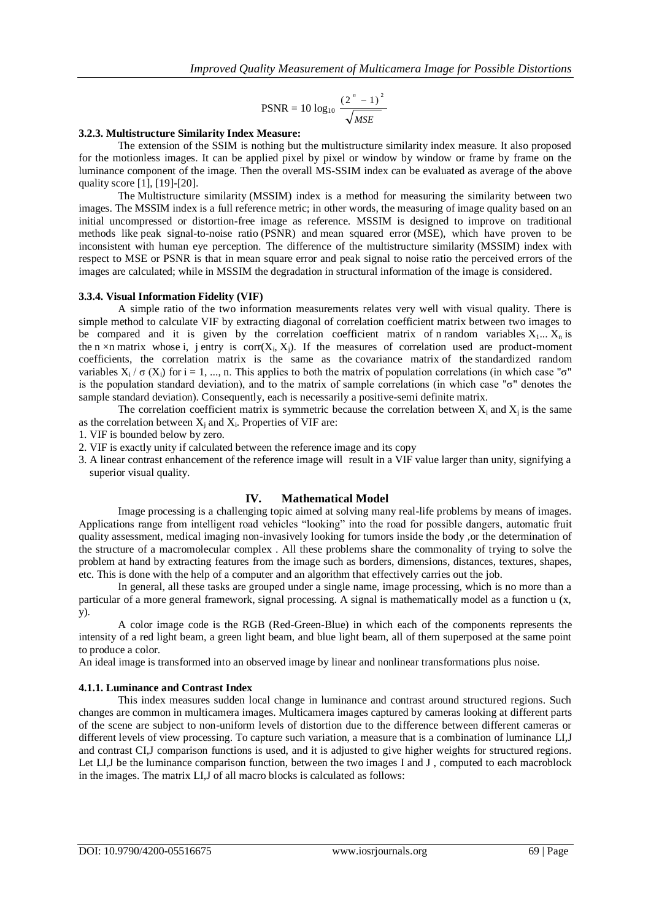$$
PSNR = 10 \log_{10} \frac{(2^n - 1)^2}{\sqrt{MSE}}
$$

#### **3.2.3. Multistructure Similarity Index Measure:**

The extension of the SSIM is nothing but the multistructure similarity index measure. It also proposed for the motionless images. It can be applied pixel by pixel or window by window or frame by frame on the luminance component of the image. Then the overall MS-SSIM index can be evaluated as average of the above quality score [1], [19]-[20].

The Multistructure similarity (MSSIM) index is a method for measuring the similarity between two images. The MSSIM index is a [full reference metric;](https://en.wikipedia.org/w/index.php?title=Full_reference_metric&action=edit&redlink=1) in other words, the measuring of image quality based on an initial uncompressed or distortion-free image as reference. MSSIM is designed to improve on traditional methods like [peak signal-to-noise ratio](https://en.wikipedia.org/wiki/Peak_signal-to-noise_ratio) (PSNR) and [mean squared error](https://en.wikipedia.org/wiki/Mean_squared_error) (MSE), which have proven to be inconsistent with human eye perception. The difference of the multistructure similarity (MSSIM) index with respect to MSE or PSNR is that in mean square error and peak signal to noise ratio the perceived errors of the images are calculated; while in MSSIM the degradation in structural information of the image is considered.

#### **3.3.4. Visual Information Fidelity (VIF)**

A simple ratio of the two information measurements relates very well with visual quality. There is simple method to calculate VIF by extracting diagonal of correlation coefficient matrix between two images to be compared and it is given by the correlation coefficient matrix of n random variables  $X_1...X_n$  is the n  $\times$ n matrix whose i, j entry is corr $(X_i, X_j)$ . If the measures of correlation used are product-moment coefficients, the correlation matrix is the same as the [covariance matrix](https://en.wikipedia.org/wiki/Covariance_matrix) of the [standardized random](https://en.wikipedia.org/wiki/Standardized_variable)  [variables](https://en.wikipedia.org/wiki/Standardized_variable)  $X_i / \sigma (X_i)$  for  $i = 1, ..., n$ . This applies to both the matrix of population correlations (in which case " $\sigma$ " is the population standard deviation), and to the matrix of sample correlations (in which case "σ" denotes the sample standard deviation). Consequently, each is necessarily a [positive-semi definite matrix.](https://en.wikipedia.org/wiki/Positive-semidefinite_matrix)

The correlation coefficient matrix is symmetric because the correlation between  $X_i$  and  $X_j$  is the same as the correlation between  $X_j$  and  $X_i$ . Properties of VIF are:

1. VIF is bounded below by zero.

- 2. VIF is exactly unity if calculated between the reference image and its copy
- 3. A linear contrast enhancement of the reference image will result in a VIF value larger than unity, signifying a superior visual quality.

#### **IV. Mathematical Model**

Image processing is a challenging topic aimed at solving many real-life problems by means of images. Applications range from intelligent road vehicles "looking" into the road for possible dangers, automatic fruit quality assessment, medical imaging non-invasively looking for tumors inside the body ,or the determination of the structure of a macromolecular complex . All these problems share the commonality of trying to solve the problem at hand by extracting features from the image such as borders, dimensions, distances, textures, shapes, etc. This is done with the help of a computer and an algorithm that effectively carries out the job.

 In general, all these tasks are grouped under a single name, image processing, which is no more than a particular of a more general framework, signal processing. A signal is mathematically model as a function u (x, y).

A color image code is the RGB (Red-Green-Blue) in which each of the components represents the intensity of a red light beam, a green light beam, and blue light beam, all of them superposed at the same point to produce a color.

An ideal image is transformed into an observed image by linear and nonlinear transformations plus noise.

#### **4.1.1. Luminance and Contrast Index**

This index measures sudden local change in luminance and contrast around structured regions. Such changes are common in multicamera images. Multicamera images captured by cameras looking at different parts of the scene are subject to non-uniform levels of distortion due to the difference between different cameras or different levels of view processing. To capture such variation, a measure that is a combination of luminance LI,J and contrast CI,J comparison functions is used, and it is adjusted to give higher weights for structured regions. Let LI,J be the luminance comparison function, between the two images I and J, computed to each macroblock in the images. The matrix LI,J of all macro blocks is calculated as follows: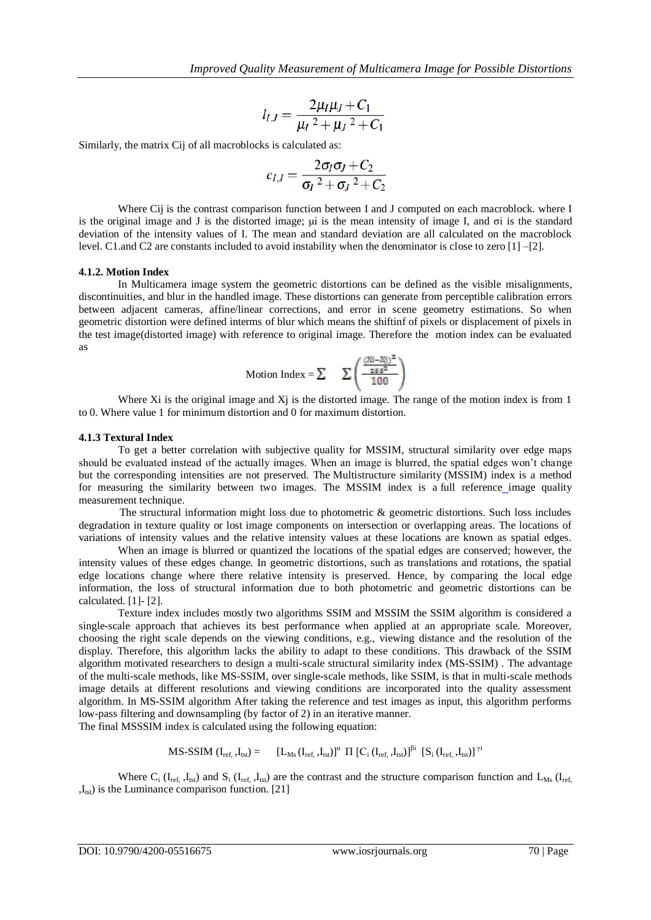$$
l_{I,J} = \frac{2\mu_I \mu_J + C_1}{\mu_I^2 + \mu_J^2 + C_1}
$$

Similarly, the matrix Cij of all macroblocks is calculated as:

$$
c_{I,J} = \frac{2\sigma_I \sigma_J + C_2}{\sigma_I^2 + \sigma_J^2 + C_2}
$$

Where Cij is the contrast comparison function between I and J computed on each macroblock. where I is the original image and J is the distorted image; μi is the mean intensity of image I, and σi is the standard deviation of the intensity values of I. The mean and standard deviation are all calculated on the macroblock level. C1.and C2 are constants included to avoid instability when the denominator is close to zero [1] –[2].

#### **4.1.2. Motion Index**

In Multicamera image system the geometric distortions can be defined as the visible misalignments, discontinuities, and blur in the handled image. These distortions can generate from perceptible calibration errors between adjacent cameras, affine/linear corrections, and error in scene geometry estimations. So when geometric distortion were defined interms of blur which means the shiftinf of pixels or displacement of pixels in the test image(distorted image) with reference to original image. Therefore the motion index can be evaluated as

$$
\text{Motion Index} = \sum \left( \frac{\frac{(\text{Xi} - \text{Xi})^2}{255^2}}{100} \right)
$$

Where Xi is the original image and X<sub>j</sub> is the distorted image. The range of the motion index is from 1 to 0. Where value 1 for minimum distortion and 0 for maximum distortion.

#### **4.1.3 Textural Index**

To get a better correlation with subjective quality for MSSIM, structural similarity over edge maps should be evaluated instead of the actually images. When an image is blurred, the spatial edges won't change but the corresponding intensities are not preserved. The Multistructure similarity (MSSIM) index is a method for measuring the similarity between two images. The MSSIM index is a [full reference](https://en.wikipedia.org/w/index.php?title=Full_reference_metric&action=edit&redlink=1) image quality measurement technique.

 The structural information might loss due to photometric & geometric distortions. Such loss includes degradation in texture quality or lost image components on intersection or overlapping areas. The locations of variations of intensity values and the relative intensity values at these locations are known as spatial edges.

When an image is blurred or quantized the locations of the spatial edges are conserved; however, the intensity values of these edges change. In geometric distortions, such as translations and rotations, the spatial edge locations change where there relative intensity is preserved. Hence, by comparing the local edge information, the loss of structural information due to both photometric and geometric distortions can be calculated. [1]- [2].

Texture index includes mostly two algorithms SSIM and MSSIM the SSIM algorithm is considered a single-scale approach that achieves its best performance when applied at an appropriate scale. Moreover, choosing the right scale depends on the viewing conditions, e.g., viewing distance and the resolution of the display. Therefore, this algorithm lacks the ability to adapt to these conditions. This drawback of the SSIM algorithm motivated researchers to design a multi-scale structural similarity index (MS-SSIM) . The advantage of the multi-scale methods, like MS-SSIM, over single-scale methods, like SSIM, is that in multi-scale methods image details at different resolutions and viewing conditions are incorporated into the quality assessment algorithm. In MS-SSIM algorithm After taking the reference and test images as input, this algorithm performs low-pass filtering and downsampling (by factor of 2) in an iterative manner.

The final MSSSIM index is calculated using the following equation:

$$
MS\text{-}SSIM\ (I_{ref,}\ I_{tst})=\qquad \ \ [L_{Ms}(I_{ref,}\ I_{tst})]^{\alpha}\ \ \Pi\ \left[C_{i}\left(I_{ref,}\ I_{tst}\right)\right]^{\beta i}\ \ \left[S_{i}\left(I_{ref,}\ I_{tst}\right)\right]^{\gamma i}
$$

Where  $C_i$  (I<sub>ref,</sub> ,I<sub>tst</sub>) and  $S_i$  (I<sub>ref,</sub> ,I<sub>tst</sub>) are the contrast and the structure comparison function and L<sub>Ms</sub> (I<sub>ref,</sub>  $,I<sub>tst</sub>$ ) is the Luminance comparison function. [21]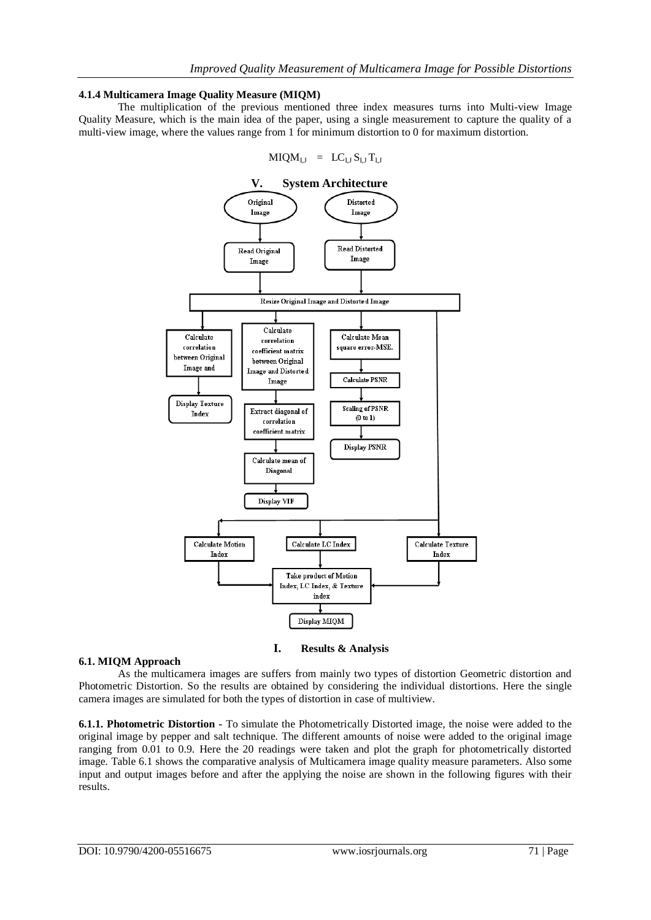#### **4.1.4 Multicamera Image Quality Measure (MIQM)**

The multiplication of the previous mentioned three index measures turns into Multi-view Image Quality Measure, which is the main idea of the paper, using a single measurement to capture the quality of a multi-view image, where the values range from 1 for minimum distortion to 0 for maximum distortion.

$$
M I Q M_{I,J} \ \, = \ \, L C_{I,J} \, S_{I,J} \, T_{I,J}
$$



**I. Results & Analysis**

#### **6.1. MIQM Approach**

As the multicamera images are suffers from mainly two types of distortion Geometric distortion and Photometric Distortion. So the results are obtained by considering the individual distortions. Here the single camera images are simulated for both the types of distortion in case of multiview.

**6.1.1. Photometric Distortion -** To simulate the Photometrically Distorted image, the noise were added to the original image by pepper and salt technique. The different amounts of noise were added to the original image ranging from 0.01 to 0.9. Here the 20 readings were taken and plot the graph for photometrically distorted image. Table 6.1 shows the comparative analysis of Multicamera image quality measure parameters. Also some input and output images before and after the applying the noise are shown in the following figures with their results.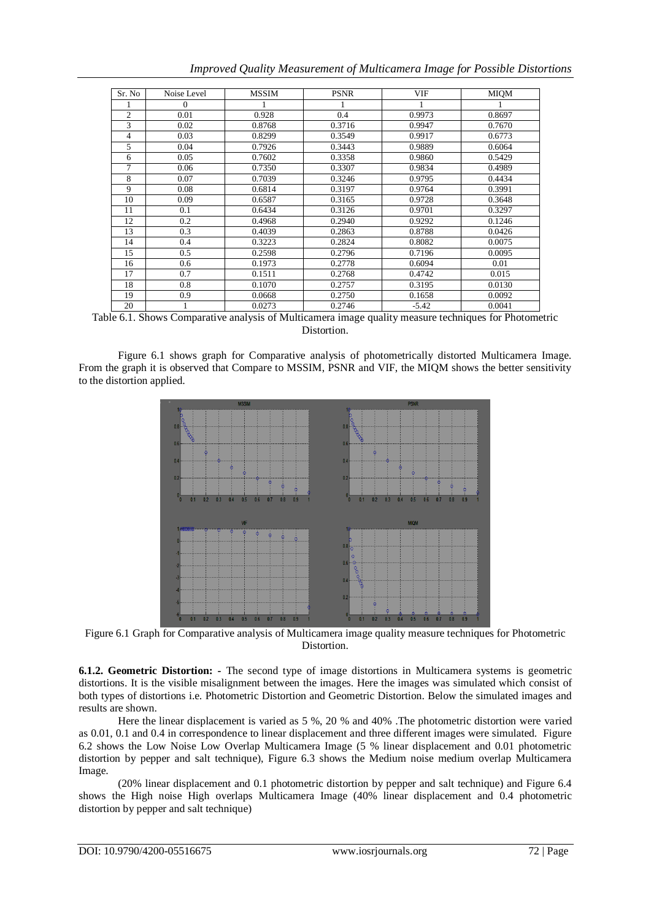| Sr. No         | Noise Level      | <b>MSSIM</b> | <b>PSNR</b> | <b>VIF</b> | <b>MIQM</b> |
|----------------|------------------|--------------|-------------|------------|-------------|
|                | $\boldsymbol{0}$ |              |             |            |             |
| $\overline{c}$ | 0.01             | 0.928        | 0.4         | 0.9973     | 0.8697      |
| 3              | 0.02             | 0.8768       | 0.3716      | 0.9947     | 0.7670      |
| 4              | 0.03             | 0.8299       | 0.3549      | 0.9917     | 0.6773      |
| 5              | 0.04             | 0.7926       | 0.3443      | 0.9889     | 0.6064      |
| 6              | 0.05             | 0.7602       | 0.3358      | 0.9860     | 0.5429      |
| $\overline{7}$ | 0.06             | 0.7350       | 0.3307      | 0.9834     | 0.4989      |
| 8              | 0.07             | 0.7039       | 0.3246      | 0.9795     | 0.4434      |
| 9              | 0.08             | 0.6814       | 0.3197      | 0.9764     | 0.3991      |
| 10             | 0.09             | 0.6587       | 0.3165      | 0.9728     | 0.3648      |
| 11             | 0.1              | 0.6434       | 0.3126      | 0.9701     | 0.3297      |
| 12             | 0.2              | 0.4968       | 0.2940      | 0.9292     | 0.1246      |
| 13             | 0.3              | 0.4039       | 0.2863      | 0.8788     | 0.0426      |
| 14             | 0.4              | 0.3223       | 0.2824      | 0.8082     | 0.0075      |
| 15             | 0.5              | 0.2598       | 0.2796      | 0.7196     | 0.0095      |
| 16             | 0.6              | 0.1973       | 0.2778      | 0.6094     | 0.01        |
| 17             | 0.7              | 0.1511       | 0.2768      | 0.4742     | 0.015       |
| 18             | 0.8              | 0.1070       | 0.2757      | 0.3195     | 0.0130      |
| 19             | 0.9              | 0.0668       | 0.2750      | 0.1658     | 0.0092      |
| 20             |                  | 0.0273       | 0.2746      | $-5.42$    | 0.0041      |

*Improved Quality Measurement of Multicamera Image for Possible Distortions*

Table 6.1. Shows Comparative analysis of Multicamera image quality measure techniques for Photometric Distortion.

Figure 6.1 shows graph for Comparative analysis of photometrically distorted Multicamera Image. From the graph it is observed that Compare to MSSIM, PSNR and VIF, the MIQM shows the better sensitivity to the distortion applied.



Figure 6.1 Graph for Comparative analysis of Multicamera image quality measure techniques for Photometric Distortion.

**6.1.2. Geometric Distortion: -** The second type of image distortions in Multicamera systems is geometric distortions. It is the visible misalignment between the images. Here the images was simulated which consist of both types of distortions i.e. Photometric Distortion and Geometric Distortion. Below the simulated images and results are shown.

Here the linear displacement is varied as 5 %, 20 % and 40% .The photometric distortion were varied as 0.01, 0.1 and 0.4 in correspondence to linear displacement and three different images were simulated. Figure 6.2 shows the Low Noise Low Overlap Multicamera Image (5 % linear displacement and 0.01 photometric distortion by pepper and salt technique), Figure 6.3 shows the Medium noise medium overlap Multicamera Image.

(20% linear displacement and 0.1 photometric distortion by pepper and salt technique) and Figure 6.4 shows the High noise High overlaps Multicamera Image (40% linear displacement and 0.4 photometric distortion by pepper and salt technique)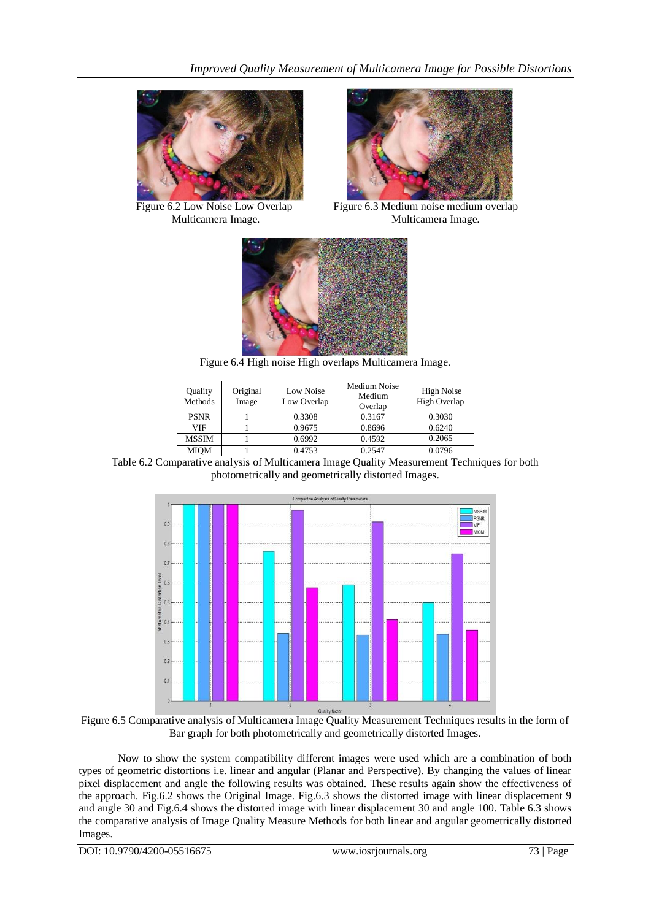



 Figure 6.2 Low Noise Low Overlap Figure 6.3 Medium noise medium overlap Multicamera Image. Multicamera Image.



Figure 6.4 High noise High overlaps Multicamera Image.

| Quality<br>Methods | Original<br>Image | Low Noise<br>Low Overlap | Medium Noise<br>Medium<br>Overlap | High Noise<br>High Overlap |
|--------------------|-------------------|--------------------------|-----------------------------------|----------------------------|
| <b>PSNR</b>        |                   | 0.3308                   | 0.3167                            | 0.3030                     |
| <b>VIF</b>         |                   | 0.9675                   | 0.8696                            | 0.6240                     |
| <b>MSSIM</b>       |                   | 0.6992                   | 0.4592                            | 0.2065                     |
| MIOM               |                   | 0.4753                   | 0.2547                            | 0.0796                     |

Table 6.2 Comparative analysis of Multicamera Image Quality Measurement Techniques for both photometrically and geometrically distorted Images.



Figure 6.5 Comparative analysis of Multicamera Image Quality Measurement Techniques results in the form of Bar graph for both photometrically and geometrically distorted Images.

Now to show the system compatibility different images were used which are a combination of both types of geometric distortions i.e. linear and angular (Planar and Perspective). By changing the values of linear pixel displacement and angle the following results was obtained. These results again show the effectiveness of the approach. Fig.6.2 shows the Original Image. Fig.6.3 shows the distorted image with linear displacement 9 and angle 30 and Fig.6.4 shows the distorted image with linear displacement 30 and angle 100. Table 6.3 shows the comparative analysis of Image Quality Measure Methods for both linear and angular geometrically distorted Images.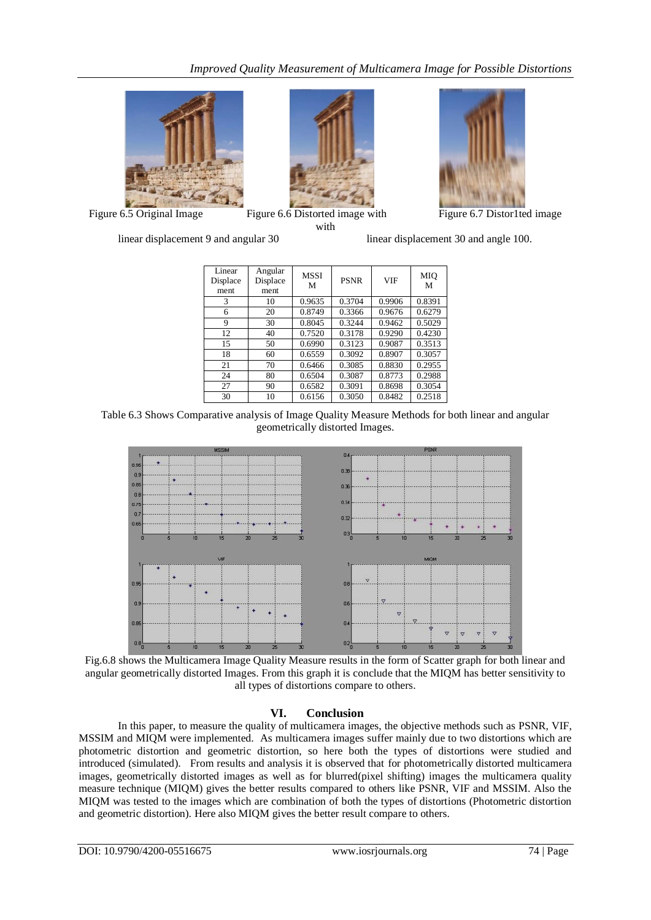



Figure 6.5 Original Image Figure 6.6 Distorted image with Figure 6.7 Distor1ted image with



linear displacement 9 and angular 30 linear displacement 30 and angle 100.

| Linear<br>Displace<br>ment | Angular<br>Displace<br>ment | <b>MSSI</b><br>M | <b>PSNR</b> | <b>VIF</b> | MIO<br>M |
|----------------------------|-----------------------------|------------------|-------------|------------|----------|
| 3                          | 10                          | 0.9635           | 0.3704      | 0.9906     | 0.8391   |
| 6                          | 20                          | 0.8749           | 0.3366      | 0.9676     | 0.6279   |
| 9                          | 30                          | 0.8045           | 0.3244      | 0.9462     | 0.5029   |
| 12                         | 40                          | 0.7520           | 0.3178      | 0.9290     | 0.4230   |
| 15                         | 50                          | 0.6990           | 0.3123      | 0.9087     | 0.3513   |
| 18                         | 60                          | 0.6559           | 0.3092      | 0.8907     | 0.3057   |
| 21                         | 70                          | 0.6466           | 0.3085      | 0.8830     | 0.2955   |
| 24                         | 80                          | 0.6504           | 0.3087      | 0.8773     | 0.2988   |
| 27                         | 90                          | 0.6582           | 0.3091      | 0.8698     | 0.3054   |
| 30                         | 10                          | 0.6156           | 0.3050      | 0.8482     | 0.2518   |

Table 6.3 Shows Comparative analysis of Image Quality Measure Methods for both linear and angular geometrically distorted Images.



Fig.6.8 shows the Multicamera Image Quality Measure results in the form of Scatter graph for both linear and angular geometrically distorted Images. From this graph it is conclude that the MIQM has better sensitivity to all types of distortions compare to others.

# **VI. Conclusion**

In this paper, to measure the quality of multicamera images, the objective methods such as PSNR, VIF, MSSIM and MIQM were implemented. As multicamera images suffer mainly due to two distortions which are photometric distortion and geometric distortion, so here both the types of distortions were studied and introduced (simulated). From results and analysis it is observed that for photometrically distorted multicamera images, geometrically distorted images as well as for blurred(pixel shifting) images the multicamera quality measure technique (MIQM) gives the better results compared to others like PSNR, VIF and MSSIM. Also the MIQM was tested to the images which are combination of both the types of distortions (Photometric distortion and geometric distortion). Here also MIQM gives the better result compare to others.